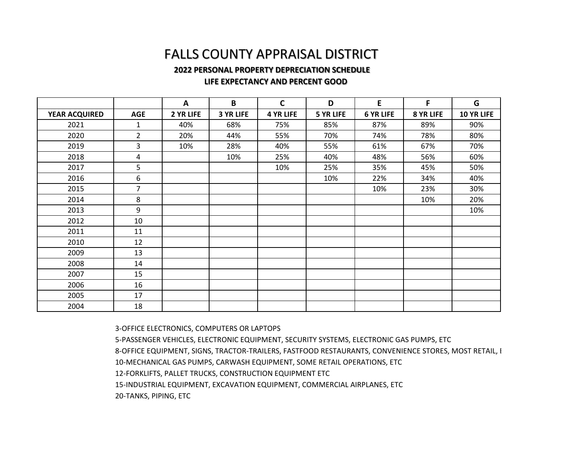## FALLS COUNTY APPRAISAL DISTRICT

## **2022 PERSONAL PROPERTY DEPRECIATION SCHEDULE**

## **LIFE EXPECTANCY AND PERCENT GOOD**

|                      |                | A         | B                | $\mathbf C$      | D                | E                | F         | G          |
|----------------------|----------------|-----------|------------------|------------------|------------------|------------------|-----------|------------|
| <b>YEAR ACQUIRED</b> | <b>AGE</b>     | 2 YR LIFE | <b>3 YR LIFE</b> | <b>4 YR LIFE</b> | <b>5 YR LIFE</b> | <b>6 YR LIFE</b> | 8 YR LIFE | 10 YR LIFE |
| 2021                 | 1              | 40%       | 68%              | 75%              | 85%              | 87%              | 89%       | 90%        |
| 2020                 | $\overline{2}$ | 20%       | 44%              | 55%              | 70%              | 74%              | 78%       | 80%        |
| 2019                 | 3              | 10%       | 28%              | 40%              | 55%              | 61%              | 67%       | 70%        |
| 2018                 | 4              |           | 10%              | 25%              | 40%              | 48%              | 56%       | 60%        |
| 2017                 | 5              |           |                  | 10%              | 25%              | 35%              | 45%       | 50%        |
| 2016                 | 6              |           |                  |                  | 10%              | 22%              | 34%       | 40%        |
| 2015                 | $\overline{7}$ |           |                  |                  |                  | 10%              | 23%       | 30%        |
| 2014                 | 8              |           |                  |                  |                  |                  | 10%       | 20%        |
| 2013                 | 9              |           |                  |                  |                  |                  |           | 10%        |
| 2012                 | 10             |           |                  |                  |                  |                  |           |            |
| 2011                 | 11             |           |                  |                  |                  |                  |           |            |
| 2010                 | 12             |           |                  |                  |                  |                  |           |            |
| 2009                 | 13             |           |                  |                  |                  |                  |           |            |
| 2008                 | 14             |           |                  |                  |                  |                  |           |            |
| 2007                 | 15             |           |                  |                  |                  |                  |           |            |
| 2006                 | 16             |           |                  |                  |                  |                  |           |            |
| 2005                 | 17             |           |                  |                  |                  |                  |           |            |
| 2004                 | 18             |           |                  |                  |                  |                  |           |            |

3-OFFICE ELECTRONICS, COMPUTERS OR LAPTOPS

5-PASSENGER VEHICLES, ELECTRONIC EQUIPMENT, SECURITY SYSTEMS, ELECTRONIC GAS PUMPS, ETC 8-OFFICE EQUIPMENT, SIGNS, TRACTOR-TRAILERS, FASTFOOD RESTAURANTS, CONVENIENCE STORES, MOST RETAIL, E 10-MECHANICAL GAS PUMPS, CARWASH EQUIPMENT, SOME RETAIL OPERATIONS, ETC 12-FORKLIFTS, PALLET TRUCKS, CONSTRUCTION EQUIPMENT ETC 15-INDUSTRIAL EQUIPMENT, EXCAVATION EQUIPMENT, COMMERCIAL AIRPLANES, ETC 20-TANKS, PIPING, ETC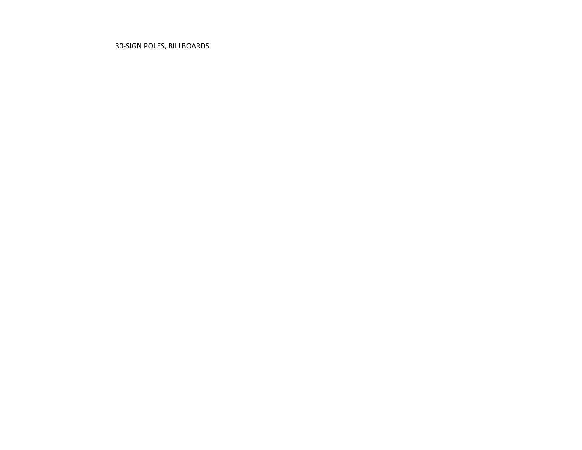30-SIGN POLES, BILLBOARDS